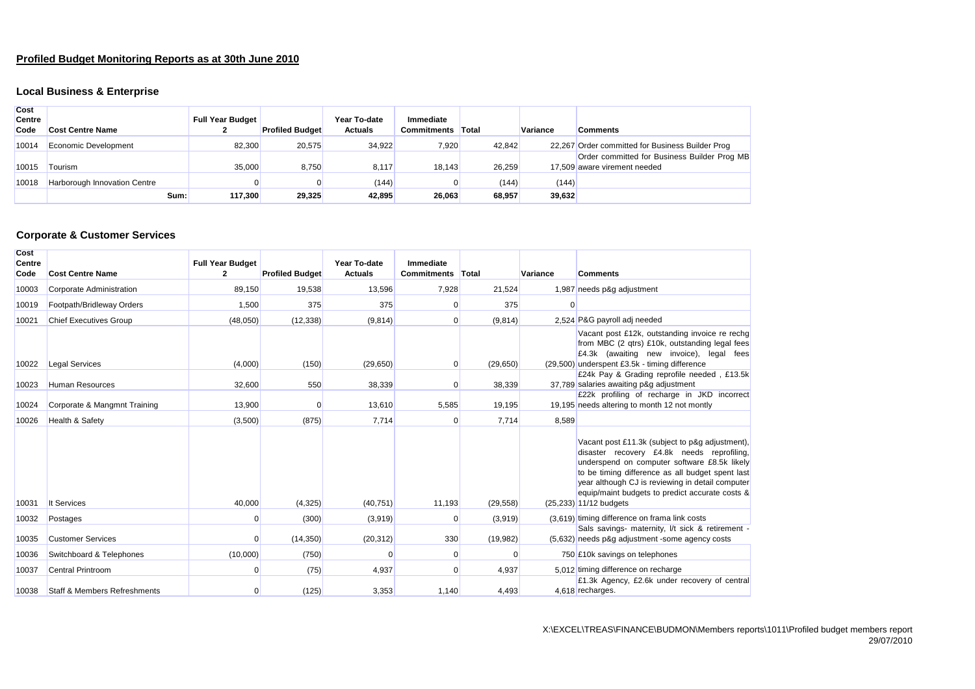# **Profiled Budget Monitoring Reports as at 30th June 2010**

# **Local Business & Enterprise**

| <b>Cost</b><br><b>Centre</b><br>Code | <b>Cost Centre Name</b>             | <b>Full Year Budget</b> | <b>Profiled Budget</b> | Year To-date<br><b>Actuals</b> | Immediate<br><b>Commitments</b> | <b>Total</b> | Variance | <b>Comments</b>                                                              |
|--------------------------------------|-------------------------------------|-------------------------|------------------------|--------------------------------|---------------------------------|--------------|----------|------------------------------------------------------------------------------|
| 10014                                | Economic Development                | 82,300                  | 20.575                 | 34.922                         | 7,920                           | 42.842       |          | 22.267 Order committed for Business Builder Prog                             |
| 10015                                | Tourism                             | 35,000                  | 8,750                  | 8.117                          | 18.143                          | 26,259       |          | Order committed for Business Builder Prog MB<br>17.509 aware virement needed |
| 10018                                | <b>Harborough Innovation Centre</b> | 0                       |                        | (144)                          |                                 | (144)        | (144)    |                                                                              |
|                                      | Sum:                                | 117.300                 | 29.325                 | 42.895                         | 26.063                          | 68.957       | 39,632   |                                                                              |

#### **Corporate & Customer Services**

| Cost<br><b>Centre</b><br>Code | <b>Cost Centre Name</b>                 | <b>Full Year Budget</b><br>$\mathbf{2}$ | <b>Profiled Budget</b> | Year To-date<br><b>Actuals</b> | Immediate<br><b>Commitments</b> | Total     | Variance | <b>Comments</b>                                                                                                                                                                                                                                                                                                                      |
|-------------------------------|-----------------------------------------|-----------------------------------------|------------------------|--------------------------------|---------------------------------|-----------|----------|--------------------------------------------------------------------------------------------------------------------------------------------------------------------------------------------------------------------------------------------------------------------------------------------------------------------------------------|
| 10003                         | Corporate Administration                | 89,150                                  | 19,538                 | 13,596                         | 7,928                           | 21,524    |          | 1,987 needs p&g adjustment                                                                                                                                                                                                                                                                                                           |
| 10019                         | Footpath/Bridleway Orders               | 1,500                                   | 375                    | 375                            | 0                               | 375       | $\Omega$ |                                                                                                                                                                                                                                                                                                                                      |
| 10021                         | <b>Chief Executives Group</b>           | (48,050)                                | (12, 338)              | (9,814)                        | O                               | (9,814)   |          | 2,524 P&G payroll adj needed                                                                                                                                                                                                                                                                                                         |
| 10022                         | <b>Legal Services</b>                   | (4,000)                                 | (150)                  | (29, 650)                      | 0                               | (29, 650) |          | Vacant post £12k, outstanding invoice re rechg<br>from MBC (2 qtrs) £10k, outstanding legal fees<br>£4.3k (awaiting new invoice), legal fees<br>(29,500) underspent £3.5k - timing difference                                                                                                                                        |
|                               |                                         |                                         |                        |                                |                                 |           |          | £24k Pay & Grading reprofile needed, £13.5k                                                                                                                                                                                                                                                                                          |
| 10023                         | <b>Human Resources</b>                  | 32,600                                  | 550                    | 38,339                         | O                               | 38,339    |          | 37,789 salaries awaiting p&g adjustment<br>£22k profiling of recharge in JKD incorrect                                                                                                                                                                                                                                               |
| 10024                         | Corporate & Mangmnt Training            | 13,900                                  | O                      | 13,610                         | 5,585                           | 19,195    |          | 19.195 needs altering to month 12 not montly                                                                                                                                                                                                                                                                                         |
| 10026                         | <b>Health &amp; Safety</b>              | (3,500)                                 | (875)                  | 7,714                          | $\Omega$                        | 7,714     | 8,589    |                                                                                                                                                                                                                                                                                                                                      |
| 10031                         | It Services                             | 40,000                                  | (4, 325)               | (40, 751)                      | 11,193                          | (29, 558) |          | Vacant post £11.3k (subject to p&g adjustment),<br>disaster recovery £4.8k needs reprofiling,<br>underspend on computer software £8.5k likely<br>to be timing difference as all budget spent last<br>year although CJ is reviewing in detail computer<br>equip/maint budgets to predict accurate costs &<br>$(25,233)$ 11/12 budgets |
| 10032                         | Postages                                | $\Omega$                                | (300)                  | (3,919)                        | O                               | (3,919)   |          | (3,619) timing difference on frama link costs                                                                                                                                                                                                                                                                                        |
| 10035                         | <b>Customer Services</b>                | 0                                       | (14, 350)              | (20, 312)                      | 330                             | (19,982)  |          | Sals savings- maternity, I/t sick & retirement -<br>(5,632) needs p&g adjustment -some agency costs                                                                                                                                                                                                                                  |
| 10036                         | Switchboard & Telephones                | (10,000)                                | (750)                  | $\mathbf 0$                    | $\Omega$                        | $\Omega$  |          | 750 £10k savings on telephones                                                                                                                                                                                                                                                                                                       |
| 10037                         | <b>Central Printroom</b>                | $\Omega$                                | (75)                   | 4,937                          | $\Omega$                        | 4,937     |          | 5,012 timing difference on recharge                                                                                                                                                                                                                                                                                                  |
| 10038                         | <b>Staff &amp; Members Refreshments</b> | 0                                       | (125)                  | 3,353                          | 1,140                           | 4,493     |          | £1.3k Agency, £2.6k under recovery of central<br>4,618 recharges.                                                                                                                                                                                                                                                                    |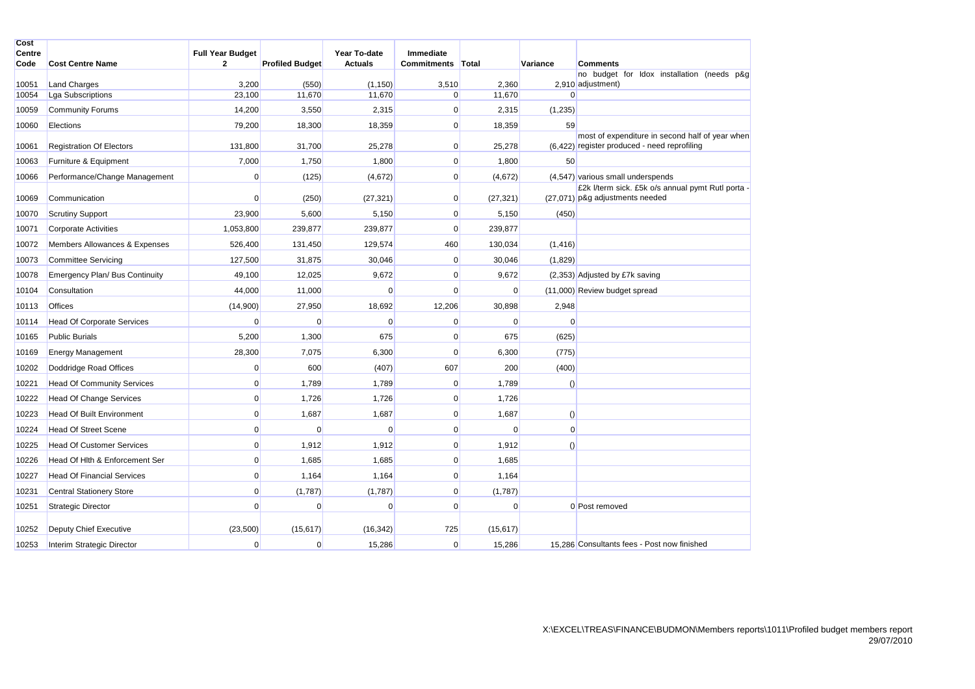| Cost<br>Centre |                                   | <b>Full Year Budget</b> |                        | Year To-date   | Immediate         |             |                  |                                                                                                 |
|----------------|-----------------------------------|-------------------------|------------------------|----------------|-------------------|-------------|------------------|-------------------------------------------------------------------------------------------------|
| Code           | <b>Cost Centre Name</b>           | $\mathbf{2}$            | <b>Profiled Budget</b> | <b>Actuals</b> | Commitments Total |             | Variance         | <b>Comments</b>                                                                                 |
| 10051          | <b>Land Charges</b>               | 3,200                   | (550)                  | (1, 150)       | 3,510             | 2,360       |                  | no budget for Idox installation (needs p&g<br>2,910 adjustment)                                 |
| 10054          | <b>Lga Subscriptions</b>          | 23,100                  | 11,670                 | 11,670         | 0                 | 11,670      | $\overline{0}$   |                                                                                                 |
| 10059          | <b>Community Forums</b>           | 14,200                  | 3,550                  | 2,315          | $\mathbf 0$       | 2,315       | (1,235)          |                                                                                                 |
| 10060          | Elections                         | 79,200                  | 18,300                 | 18,359         | $\mathbf 0$       | 18,359      | 59               |                                                                                                 |
| 10061          | <b>Registration Of Electors</b>   | 131,800                 | 31,700                 | 25,278         | $\mathbf 0$       | 25,278      |                  | most of expenditure in second half of year when<br>(6,422) register produced - need reprofiling |
| 10063          | Furniture & Equipment             | 7,000                   | 1,750                  | 1,800          | $\mathbf 0$       | 1,800       | 50               |                                                                                                 |
| 10066          | Performance/Change Management     | 0                       | (125)                  | (4,672)        | 0                 | (4,672)     |                  | (4,547) various small underspends                                                               |
| 10069          | Communication                     | 0                       | (250)                  | (27, 321)      | $\mathbf 0$       | (27, 321)   |                  | £2k l/term sick. £5k o/s annual pymt Rutl porta -<br>(27,071) p&g adjustments needed            |
| 10070          | <b>Scrutiny Support</b>           | 23,900                  | 5,600                  | 5,150          | 0                 | 5,150       | (450)            |                                                                                                 |
| 10071          | <b>Corporate Activities</b>       | 1,053,800               | 239,877                | 239,877        | $\mathbf 0$       | 239,877     |                  |                                                                                                 |
| 10072          | Members Allowances & Expenses     | 526,400                 | 131,450                | 129,574        | 460               | 130,034     | (1, 416)         |                                                                                                 |
| 10073          | <b>Committee Servicing</b>        | 127,500                 | 31,875                 | 30,046         | 0                 | 30,046      | (1,829)          |                                                                                                 |
| 10078          | Emergency Plan/ Bus Continuity    | 49,100                  | 12,025                 | 9,672          | 0                 | 9,672       |                  | (2,353) Adjusted by £7k saving                                                                  |
| 10104          | Consultation                      | 44,000                  | 11,000                 | $\Omega$       | $\mathbf 0$       | $\mathbf 0$ |                  | (11,000) Review budget spread                                                                   |
| 10113          | <b>Offices</b>                    | (14,900)                | 27,950                 | 18,692         | 12,206            | 30,898      | 2,948            |                                                                                                 |
| 10114          | <b>Head Of Corporate Services</b> | 0                       | $\Omega$               | $\Omega$       | $\mathbf 0$       | $\mathbf 0$ | 0                |                                                                                                 |
| 10165          | <b>Public Burials</b>             | 5,200                   | 1,300                  | 675            | $\mathbf 0$       | 675         | (625)            |                                                                                                 |
| 10169          | <b>Energy Management</b>          | 28,300                  | 7,075                  | 6,300          | $\mathbf 0$       | 6,300       | (775)            |                                                                                                 |
| 10202          | Doddridge Road Offices            | 0                       | 600                    | (407)          | 607               | 200         | (400)            |                                                                                                 |
| 10221          | <b>Head Of Community Services</b> | 0                       | 1,789                  | 1,789          | 0                 | 1,789       | $\left( \right)$ |                                                                                                 |
| 10222          | <b>Head Of Change Services</b>    | $\mathbf 0$             | 1,726                  | 1,726          | $\mathbf 0$       | 1,726       |                  |                                                                                                 |
| 10223          | <b>Head Of Built Environment</b>  | 0                       | 1,687                  | 1,687          | $\mathbf 0$       | 1,687       | $\left( \right)$ |                                                                                                 |
| 10224          | <b>Head Of Street Scene</b>       | 0                       | $\Omega$               | $\Omega$       | $\mathbf 0$       | $\mathbf 0$ | 0                |                                                                                                 |
| 10225          | <b>Head Of Customer Services</b>  | $\mathbf 0$             | 1,912                  | 1,912          | $\overline{0}$    | 1,912       | $\left( \right)$ |                                                                                                 |
| 10226          | Head Of Hith & Enforcement Ser    | $\mathbf 0$             | 1,685                  | 1,685          | $\mathbf 0$       | 1,685       |                  |                                                                                                 |
| 10227          | <b>Head Of Financial Services</b> | 0                       | 1,164                  | 1,164          | $\mathbf 0$       | 1,164       |                  |                                                                                                 |
| 10231          | <b>Central Stationery Store</b>   | 0                       | (1,787)                | (1,787)        | 0                 | (1,787)     |                  |                                                                                                 |
| 10251          | <b>Strategic Director</b>         | 0                       | $\Omega$               | $\Omega$       | $\mathbf 0$       | $\mathbf 0$ |                  | 0 Post removed                                                                                  |
| 10252          | Deputy Chief Executive            | (23, 500)               | (15, 617)              | (16, 342)      | 725               | (15, 617)   |                  |                                                                                                 |
| 10253          | Interim Strategic Director        | 0                       | $\Omega$               | 15,286         | $\mathbf 0$       | 15,286      |                  | 15.286 Consultants fees - Post now finished                                                     |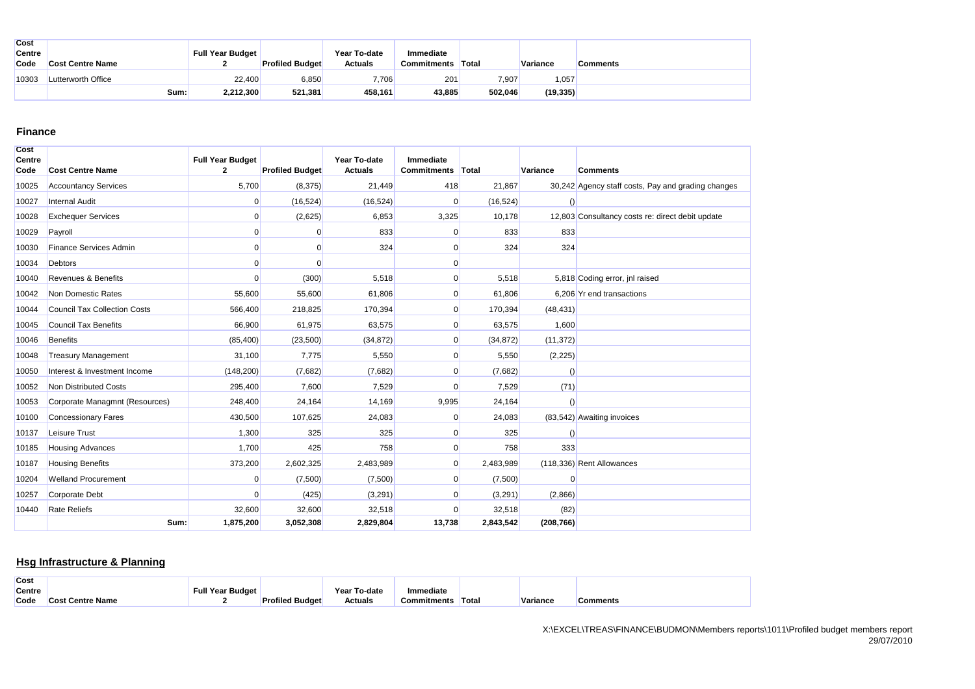| <b>Cost</b><br>Centre |                         | <b>Full Year Budget</b> |                        | Year To-date   | Immediate   |              |           |          |
|-----------------------|-------------------------|-------------------------|------------------------|----------------|-------------|--------------|-----------|----------|
| Code                  | <b>Cost Centre Name</b> |                         | <b>Profiled Budget</b> | <b>Actuals</b> | Commitments | <b>Total</b> | Variance  | Comments |
| 10303                 | Lutterworth Office      | 22.400                  | 6,850                  | 7,706          | 201         | 7,907        | 1,057     |          |
|                       | Sum: l                  | 2,212,300               | 521,381                | 458,161        | 43,885      | 502.046      | (19, 335) |          |

#### **Finance**

| <b>Cost</b><br><b>Centre</b> |                                     | <b>Full Year Budget</b> |                        | Year To-date   | Immediate          |           |                  |                                                    |
|------------------------------|-------------------------------------|-------------------------|------------------------|----------------|--------------------|-----------|------------------|----------------------------------------------------|
| Code                         | <b>Cost Centre Name</b>             | $\mathbf{2}$            | <b>Profiled Budget</b> | <b>Actuals</b> | <b>Commitments</b> | Total     | Variance         | <b>Comments</b>                                    |
| 10025                        | <b>Accountancy Services</b>         | 5,700                   | (8,375)                | 21,449         | 418                | 21,867    |                  | 30,242 Agency staff costs, Pay and grading changes |
| 10027                        | <b>Internal Audit</b>               | $\mathbf 0$             | (16, 524)              | (16, 524)      | $\Omega$           | (16, 524) | $\left( \right)$ |                                                    |
| 10028                        | <b>Exchequer Services</b>           | $\overline{0}$          | (2,625)                | 6,853          | 3,325              | 10,178    |                  | 12.803 Consultancy costs re: direct debit update   |
| 10029                        | Payroll                             | $\mathbf 0$             | 0                      | 833            | $\Omega$           | 833       | 833              |                                                    |
| 10030                        | <b>Finance Services Admin</b>       | $\mathbf 0$             | 0                      | 324            |                    | 324       | 324              |                                                    |
| 10034                        | <b>Debtors</b>                      | $\mathbf 0$             | $\Omega$               |                | $\Omega$           |           |                  |                                                    |
| 10040                        | <b>Revenues &amp; Benefits</b>      | $\mathbf 0$             | (300)                  | 5,518          |                    | 5,518     |                  | 5,818 Coding error, jnl raised                     |
| 10042                        | Non Domestic Rates                  | 55,600                  | 55,600                 | 61,806         | $\Omega$           | 61,806    |                  | 6,206 Yr end transactions                          |
| 10044                        | <b>Council Tax Collection Costs</b> | 566,400                 | 218,825                | 170,394        |                    | 170,394   | (48, 431)        |                                                    |
| 10045                        | <b>Council Tax Benefits</b>         | 66,900                  | 61,975                 | 63,575         | $\Omega$           | 63,575    | 1,600            |                                                    |
| 10046                        | <b>Benefits</b>                     | (85, 400)               | (23, 500)              | (34, 872)      |                    | (34, 872) | (11, 372)        |                                                    |
| 10048                        | <b>Treasury Management</b>          | 31,100                  | 7,775                  | 5,550          | $\Omega$           | 5,550     | (2, 225)         |                                                    |
| 10050                        | Interest & Investment Income        | (148, 200)              | (7,682)                | (7,682)        | $\Omega$           | (7,682)   | $\left( \right)$ |                                                    |
| 10052                        | Non Distributed Costs               | 295,400                 | 7,600                  | 7,529          |                    | 7,529     | (71)             |                                                    |
| 10053                        | Corporate Managmnt (Resources)      | 248,400                 | 24,164                 | 14,169         | 9,995              | 24,164    | $\left( \right)$ |                                                    |
| 10100                        | <b>Concessionary Fares</b>          | 430,500                 | 107,625                | 24,083         | $\Omega$           | 24,083    |                  | (83,542) Awaiting invoices                         |
| 10137                        | <b>Leisure Trust</b>                | 1,300                   | 325                    | 325            | $\Omega$           | 325       | $\left( \right)$ |                                                    |
| 10185                        | <b>Housing Advances</b>             | 1.700                   | 425                    | 758            |                    | 758       | 333              |                                                    |
| 10187                        | <b>Housing Benefits</b>             | 373,200                 | 2,602,325              | 2,483,989      | 0                  | 2,483,989 |                  | (118,336) Rent Allowances                          |
| 10204                        | <b>Welland Procurement</b>          | $\overline{0}$          | (7,500)                | (7,500)        | 0                  | (7,500)   | $\Omega$         |                                                    |
| 10257                        | Corporate Debt                      | $\mathbf 0$             | (425)                  | (3,291)        | $\Omega$           | (3,291)   | (2,866)          |                                                    |
| 10440                        | <b>Rate Reliefs</b>                 | 32.600                  | 32,600                 | 32,518         |                    | 32,518    | (82)             |                                                    |
|                              | Sum:                                | 1,875,200               | 3,052,308              | 2,829,804      | 13,738             | 2,843,542 | (208, 766)       |                                                    |

# **Hsg Infrastructure & Planning**

| <b>Cost</b>   |                       |                  |                        |                 |                    |       |          |          |
|---------------|-----------------------|------------------|------------------------|-----------------|--------------------|-------|----------|----------|
| <b>Centre</b> |                       | Full Year Budget |                        | To-date<br>Yeaı | Immediate          |       |          |          |
| Code          | l Centre Name<br>Cost |                  | <b>Profiled Budget</b> | <b>Actuals</b>  | <b>Commitments</b> | Total | Variance | Comments |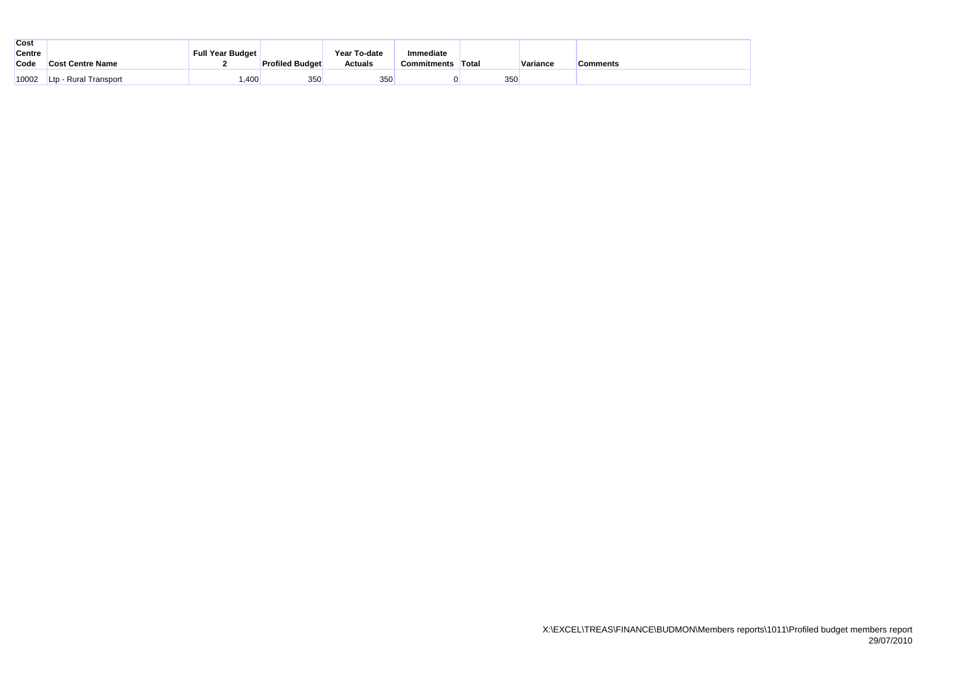| <b>Cost</b>   |                          |                         |                        |                |             |        |          |          |
|---------------|--------------------------|-------------------------|------------------------|----------------|-------------|--------|----------|----------|
| <b>Centre</b> |                          | <b>Full Year Budget</b> |                        | Year To-date   | Immediate   |        |          |          |
| Code          | <b>Cost Centre Name</b>  |                         | <b>Profiled Budget</b> | <b>Actuals</b> | Commitments | 'Total | Variance | Comments |
| 10002         | - Rural Transport<br>Ltp | ,400                    | 350                    | 350            |             | 350    |          |          |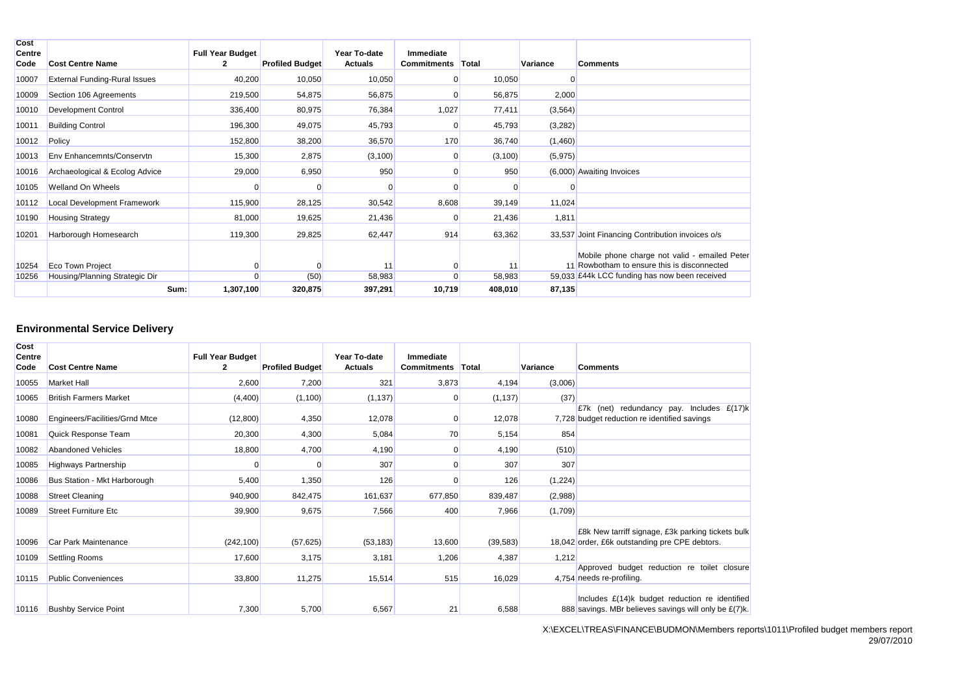| Cost<br>Centre |                                      | <b>Full Year Budget</b> |                        | Year To-date   | Immediate          |          |          |                                                  |
|----------------|--------------------------------------|-------------------------|------------------------|----------------|--------------------|----------|----------|--------------------------------------------------|
| Code           | <b>Cost Centre Name</b>              | 2                       | <b>Profiled Budget</b> | <b>Actuals</b> | <b>Commitments</b> | Total    | Variance | <b>Comments</b>                                  |
| 10007          | <b>External Funding-Rural Issues</b> | 40,200                  | 10,050                 | 10,050         | $\Omega$           | 10,050   |          |                                                  |
| 10009          | Section 106 Agreements               | 219,500                 | 54,875                 | 56,875         | $\Omega$           | 56,875   | 2,000    |                                                  |
| 10010          | <b>Development Control</b>           | 336,400                 | 80,975                 | 76,384         | 1,027              | 77,411   | (3, 564) |                                                  |
| 10011          | <b>Building Control</b>              | 196,300                 | 49,075                 | 45,793         | $\Omega$           | 45,793   | (3,282)  |                                                  |
| 10012          | Policy                               | 152,800                 | 38,200                 | 36,570         | 170                | 36,740   | (1,460)  |                                                  |
| 10013          | Env Enhancemnts/Conservtn            | 15,300                  | 2,875                  | (3, 100)       | 0                  | (3, 100) | (5, 975) |                                                  |
| 10016          | Archaeological & Ecolog Advice       | 29,000                  | 6,950                  | 950            | $\Omega$           | 950      |          | (6,000) Awaiting Invoices                        |
| 10105          | Welland On Wheels                    | $\Omega$                |                        | $\Omega$       |                    |          |          |                                                  |
| 10112          | <b>Local Development Framework</b>   | 115,900                 | 28,125                 | 30,542         | 8,608              | 39,149   | 11,024   |                                                  |
| 10190          | <b>Housing Strategy</b>              | 81,000                  | 19,625                 | 21,436         | $\Omega$           | 21,436   | 1,811    |                                                  |
| 10201          | Harborough Homesearch                | 119,300                 | 29,825                 | 62,447         | 914                | 63,362   |          | 33,537 Joint Financing Contribution invoices o/s |
|                |                                      |                         |                        |                |                    |          |          | Mobile phone charge not valid - emailed Peter    |
| 10254          | <b>Eco Town Project</b>              | $\Omega$                |                        | 11             | 0                  | 11       |          | 11 Rowbotham to ensure this is disconnected      |
| 10256          | Housing/Planning Strategic Dir       | $\Omega$                | (50)                   | 58,983         | $\Omega$           | 58,983   |          | 59,033 £44k LCC funding has now been received    |
|                | Sum:                                 | 1,307,100               | 320,875                | 397,291        | 10,719             | 408,010  | 87,135   |                                                  |

# **Environmental Service Delivery**

| <b>Cost</b><br><b>Centre</b> |                                | <b>Full Year Budget</b> |                        | Year To-date   | Immediate          |              |          |                                                                                                         |
|------------------------------|--------------------------------|-------------------------|------------------------|----------------|--------------------|--------------|----------|---------------------------------------------------------------------------------------------------------|
| Code                         | <b>Cost Centre Name</b>        | $\mathbf{2}$            | <b>Profiled Budget</b> | <b>Actuals</b> | <b>Commitments</b> | <b>Total</b> | Variance | <b>Comments</b>                                                                                         |
| 10055                        | <b>Market Hall</b>             | 2,600                   | 7,200                  | 321            | 3,873              | 4,194        | (3,006)  |                                                                                                         |
| 10065                        | <b>British Farmers Market</b>  | (4,400)                 | (1,100)                | (1, 137)       | $\Omega$           | (1, 137)     | (37)     |                                                                                                         |
| 10080                        | Engineers/Facilities/Grnd Mtce | (12,800)                | 4,350                  | 12,078         | $\Omega$           | 12,078       |          | E7k (net) redundancy pay. Includes $E(17)k$<br>7.728 budget reduction re identified savings             |
| 10081                        | Quick Response Team            | 20,300                  | 4,300                  | 5,084          | 70                 | 5,154        | 854      |                                                                                                         |
| 10082                        | <b>Abandoned Vehicles</b>      | 18,800                  | 4,700                  | 4,190          | $\Omega$           | 4,190        | (510)    |                                                                                                         |
| 10085                        | <b>Highways Partnership</b>    | 0                       |                        | 307            |                    | 307          | 307      |                                                                                                         |
| 10086                        | Bus Station - Mkt Harborough   | 5,400                   | 1,350                  | 126            |                    | 126          | (1,224)  |                                                                                                         |
| 10088                        | <b>Street Cleaning</b>         | 940,900                 | 842,475                | 161,637        | 677,850            | 839,487      | (2,988)  |                                                                                                         |
| 10089                        | <b>Street Furniture Etc</b>    | 39,900                  | 9,675                  | 7,566          | 400                | 7,966        | (1,709)  |                                                                                                         |
| 10096                        | Car Park Maintenance           | (242, 100)              | (57, 625)              | (53, 183)      | 13,600             | (39, 583)    |          | £8k New tarriff signage, £3k parking tickets bulk<br>18,042 order, £6k outstanding pre CPE debtors.     |
| 10109                        | <b>Settling Rooms</b>          | 17,600                  | 3,175                  | 3,181          | 1,206              | 4,387        | 1,212    |                                                                                                         |
| 10115                        | <b>Public Conveniences</b>     | 33,800                  | 11,275                 | 15,514         | 515                | 16,029       |          | Approved budget reduction re toilet closure<br>4,754 needs re-profiling.                                |
| 10116                        | <b>Bushby Service Point</b>    | 7,300                   | 5,700                  | 6,567          | 21                 | 6,588        |          | Includes £(14)k budget reduction re identified<br>888 savings. MBr believes savings will only be £(7)k. |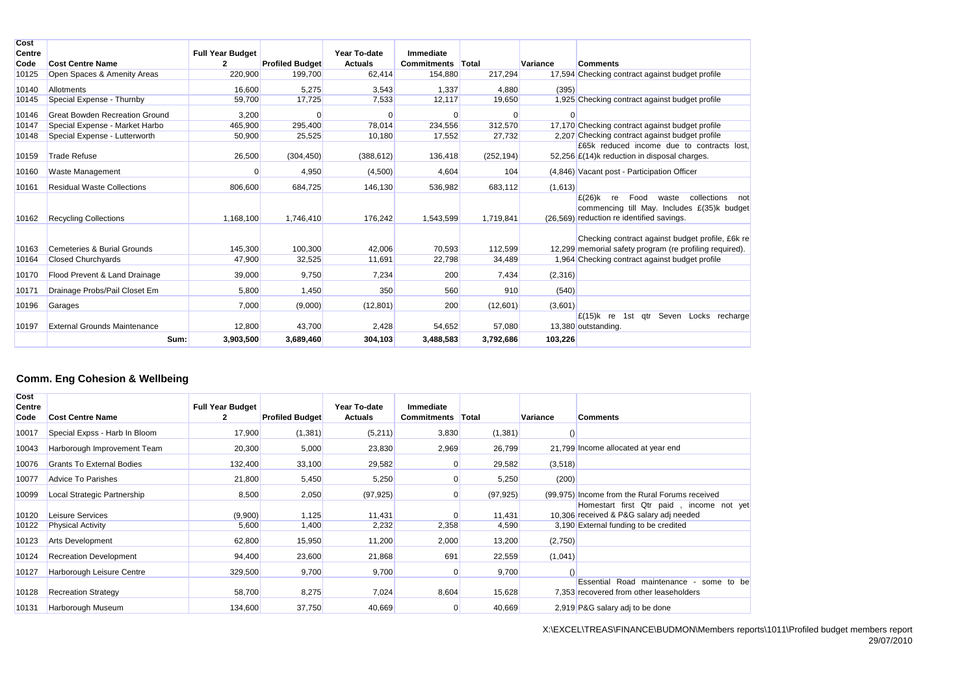| <b>Cost</b>           |                                       |                                           |                        |                                |                                 |            |          |                                                                                                                                                    |
|-----------------------|---------------------------------------|-------------------------------------------|------------------------|--------------------------------|---------------------------------|------------|----------|----------------------------------------------------------------------------------------------------------------------------------------------------|
| <b>Centre</b><br>Code | <b>Cost Centre Name</b>               | <b>Full Year Budget</b><br>$\overline{2}$ | <b>Profiled Budget</b> | Year To-date<br><b>Actuals</b> | Immediate<br><b>Commitments</b> | Total      | Variance | <b>Comments</b>                                                                                                                                    |
| 10125                 | Open Spaces & Amenity Areas           | 220,900                                   | 199,700                | 62,414                         | 154,880                         | 217,294    |          | 17,594 Checking contract against budget profile                                                                                                    |
|                       |                                       |                                           |                        |                                |                                 |            |          |                                                                                                                                                    |
| 10140                 | Allotments                            | 16.600                                    | 5.275                  | 3,543                          | 1.337                           | 4.880      | (395)    |                                                                                                                                                    |
| 10145                 | Special Expense - Thurnby             | 59,700                                    | 17,725                 | 7,533                          | 12,117                          | 19,650     |          | 1.925 Checking contract against budget profile                                                                                                     |
| 10146                 | <b>Great Bowden Recreation Ground</b> | 3,200                                     | $\Omega$               | 0                              | $\Omega$                        | $\Omega$   | $\Omega$ |                                                                                                                                                    |
| 10147                 | Special Expense - Market Harbo        | 465,900                                   | 295,400                | 78,014                         | 234,556                         | 312,570    |          | 17.170 Checking contract against budget profile                                                                                                    |
| 10148                 | Special Expense - Lutterworth         | 50,900                                    | 25,525                 | 10,180                         | 17,552                          | 27,732     |          | 2,207 Checking contract against budget profile                                                                                                     |
| 10159                 | <b>Trade Refuse</b>                   | 26,500                                    | (304, 450)             | (388, 612)                     | 136,418                         | (252, 194) |          | £65k reduced income due to contracts lost.<br>52.256 £(14)k reduction in disposal charges.                                                         |
| 10160                 | Waste Management                      | 0                                         | 4,950                  | (4,500)                        | 4,604                           | 104        |          | (4,846) Vacant post - Participation Officer                                                                                                        |
| 10161                 | <b>Residual Waste Collections</b>     | 806,600                                   | 684,725                | 146,130                        | 536,982                         | 683,112    | (1,613)  |                                                                                                                                                    |
| 10162                 | <b>Recycling Collections</b>          | 1,168,100                                 | 1.746.410              | 176,242                        | 1,543,599                       | 1,719,841  |          | $E(26)$ k<br>Food<br>collections<br>waste<br>re<br>not<br>commencing till May. Includes £(35)k budget<br>(26,569) reduction re identified savings. |
| 10163                 | Cemeteries & Burial Grounds           | 145,300                                   | 100,300                | 42.006                         | 70,593                          | 112,599    |          | Checking contract against budget profile, £6k re<br>12,299 memorial safety program (re profiling required).                                        |
| 10164                 | <b>Closed Churchyards</b>             | 47,900                                    | 32,525                 | 11,691                         | 22,798                          | 34,489     |          | 1,964 Checking contract against budget profile                                                                                                     |
| 10170                 | Flood Prevent & Land Drainage         | 39,000                                    | 9,750                  | 7,234                          | 200                             | 7,434      | (2,316)  |                                                                                                                                                    |
| 10171                 | Drainage Probs/Pail Closet Em         | 5,800                                     | 1,450                  | 350                            | 560                             | 910        | (540)    |                                                                                                                                                    |
| 10196                 | Garages                               | 7,000                                     | (9,000)                | (12, 801)                      | 200                             | (12,601)   | (3,601)  |                                                                                                                                                    |
| 10197                 | <b>External Grounds Maintenance</b>   | 12,800                                    | 43,700                 | 2,428                          | 54,652                          | 57,080     |          | $E(15)$ k re<br>Seven<br>Locks recharge<br>1st gtr<br>13,380 outstanding.                                                                          |
|                       | Sum:                                  | 3,903,500                                 | 3,689,460              | 304,103                        | 3,488,583                       | 3,792,686  | 103,226  |                                                                                                                                                    |

# **Comm. Eng Cohesion & Wellbeing**

| Cost<br><b>Centre</b> |                                  | <b>Full Year Budget</b> |                        | Year To-date   | Immediate   |           |          |                                                                                                  |
|-----------------------|----------------------------------|-------------------------|------------------------|----------------|-------------|-----------|----------|--------------------------------------------------------------------------------------------------|
| Code                  | <b>Cost Centre Name</b>          |                         | <b>Profiled Budget</b> | <b>Actuals</b> | Commitments | Total     | Variance | <b>Comments</b>                                                                                  |
| 10017                 | Special Expss - Harb In Bloom    | 17,900                  | (1, 381)               | (5,211)        | 3,830       | (1, 381)  |          |                                                                                                  |
| 10043                 | Harborough Improvement Team      | 20,300                  | 5,000                  | 23,830         | 2,969       | 26,799    |          | 21,799 Income allocated at year end                                                              |
| 10076                 | <b>Grants To External Bodies</b> | 132,400                 | 33,100                 | 29,582         |             | 29,582    | (3, 518) |                                                                                                  |
| 10077                 | <b>Advice To Parishes</b>        | 21,800                  | 5,450                  | 5,250          |             | 5,250     | (200)    |                                                                                                  |
| 10099                 | Local Strategic Partnership      | 8,500                   | 2,050                  | (97, 925)      |             | (97, 925) |          | (99,975) Income from the Rural Forums received                                                   |
| 10120                 | Leisure Services                 | (9,900)                 | 1,125                  | 11,431         |             | 11,431    |          | Homestart first Qtr paid, income not yet<br>10,306 received & P&G salary adj needed              |
| 10122                 | <b>Physical Activity</b>         | 5,600                   | 1,400                  | 2,232          | 2,358       | 4,590     |          | 3,190 External funding to be credited                                                            |
| 10123                 | <b>Arts Development</b>          | 62,800                  | 15,950                 | 11,200         | 2,000       | 13,200    | (2,750)  |                                                                                                  |
| 10124                 | <b>Recreation Development</b>    | 94,400                  | 23,600                 | 21,868         | 691         | 22,559    | (1,041)  |                                                                                                  |
| 10127                 | Harborough Leisure Centre        | 329,500                 | 9,700                  | 9,700          |             | 9,700     |          |                                                                                                  |
| 10128                 | <b>Recreation Strategy</b>       | 58,700                  | 8,275                  | 7,024          | 8,604       | 15,628    |          | Road maintenance<br>Essential<br>some to be<br>$\sim$<br>7,353 recovered from other leaseholders |
| 10131                 | Harborough Museum                | 134,600                 | 37,750                 | 40,669         |             | 40,669    |          | 2.919 P&G salary adj to be done                                                                  |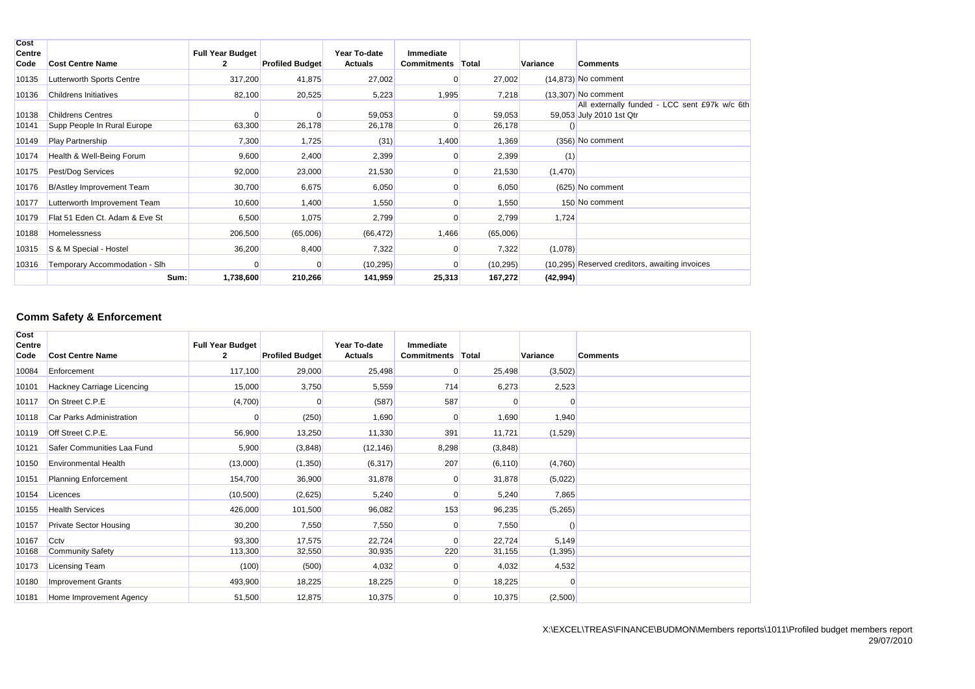| Cost<br><b>Centre</b> |                                  | <b>Full Year Budget</b> |                        | Year To-date   | Immediate   |              |           |                                                                           |
|-----------------------|----------------------------------|-------------------------|------------------------|----------------|-------------|--------------|-----------|---------------------------------------------------------------------------|
| Code                  | <b>Cost Centre Name</b>          |                         | <b>Profiled Budget</b> | <b>Actuals</b> | Commitments | <b>Total</b> | Variance  | <b>Comments</b>                                                           |
| 10135                 | Lutterworth Sports Centre        | 317,200                 | 41,875                 | 27,002         |             | 27,002       |           | $(14,873)$ No comment                                                     |
| 10136                 | <b>Childrens Initiatives</b>     | 82,100                  | 20,525                 | 5,223          | 1,995       | 7,218        |           | $(13,307)$ No comment                                                     |
| 10138                 | <b>Childrens Centres</b>         | $\Omega$                |                        | 59,053         |             | 59,053       |           | All externally funded - LCC sent £97k w/c 6th<br>59,053 July 2010 1st Qtr |
| 10141                 | Supp People In Rural Europe      | 63,300                  | 26,178                 | 26,178         |             | 26,178       |           |                                                                           |
| 10149                 | <b>Play Partnership</b>          | 7,300                   | 1,725                  | (31)           | 1,400       | 1,369        |           | (356) No comment                                                          |
| 10174                 | Health & Well-Being Forum        | 9,600                   | 2,400                  | 2,399          |             | 2,399        | (1)       |                                                                           |
| 10175                 | Pest/Dog Services                | 92,000                  | 23,000                 | 21,530         |             | 21,530       | (1,470)   |                                                                           |
| 10176                 | <b>B/Astley Improvement Team</b> | 30,700                  | 6,675                  | 6,050          |             | 6,050        |           | $(625)$ No comment                                                        |
| 10177                 | Lutterworth Improvement Team     | 10,600                  | 1,400                  | 1,550          |             | 1,550        |           | 150 No comment                                                            |
| 10179                 | Flat 51 Eden Ct. Adam & Eve St   | 6,500                   | 1,075                  | 2,799          |             | 2,799        | 1,724     |                                                                           |
| 10188                 | <b>Homelessness</b>              | 206,500                 | (65,006)               | (66, 472)      | 1,466       | (65,006)     |           |                                                                           |
| 10315                 | S & M Special - Hostel           | 36,200                  | 8,400                  | 7,322          |             | 7,322        | (1,078)   |                                                                           |
| 10316                 | Temporary Accommodation - Slh    |                         |                        | (10, 295)      |             | (10, 295)    |           | (10,295) Reserved creditors, awaiting invoices                            |
|                       | Sum:                             | 1,738,600               | 210,266                | 141,959        | 25,313      | 167,272      | (42, 994) |                                                                           |

# **Comm Safety & Enforcement**

| Cost<br>Centre |                               | <b>Full Year Budget</b> |                        | Year To-date   | Immediate          |          |                 |                 |
|----------------|-------------------------------|-------------------------|------------------------|----------------|--------------------|----------|-----------------|-----------------|
| Code           | <b>Cost Centre Name</b>       | $\overline{2}$          | <b>Profiled Budget</b> | <b>Actuals</b> | <b>Commitments</b> | Total    | <b>Variance</b> | <b>Comments</b> |
| 10084          | Enforcement                   | 117,100                 | 29,000                 | 25,498         | $\Omega$           | 25,498   | (3,502)         |                 |
| 10101          | Hackney Carriage Licencing    | 15,000                  | 3,750                  | 5,559          | 714                | 6,273    | 2,523           |                 |
| 10117          | On Street C.P.E               | (4,700)                 |                        | (587)          | 587                |          | ∩               |                 |
| 10118          | Car Parks Administration      | 0                       | (250)                  | 1,690          | 0                  | 1,690    | 1,940           |                 |
| 10119          | Off Street C.P.E.             | 56,900                  | 13,250                 | 11,330         | 391                | 11,721   | (1,529)         |                 |
| 10121          | Safer Communities Laa Fund    | 5,900                   | (3,848)                | (12, 146)      | 8,298              | (3,848)  |                 |                 |
| 10150          | <b>Environmental Health</b>   | (13,000)                | (1,350)                | (6, 317)       | 207                | (6, 110) | (4,760)         |                 |
| 10151          | <b>Planning Enforcement</b>   | 154,700                 | 36,900                 | 31,878         | 0                  | 31,878   | (5,022)         |                 |
| 10154          | Licences                      | (10, 500)               | (2,625)                | 5,240          | $\Omega$           | 5,240    | 7,865           |                 |
| 10155          | <b>Health Services</b>        | 426,000                 | 101,500                | 96,082         | 153                | 96,235   | (5,265)         |                 |
| 10157          | <b>Private Sector Housing</b> | 30,200                  | 7,550                  | 7,550          | $\Omega$           | 7,550    |                 |                 |
| 10167          | Cctv                          | 93,300                  | 17,575                 | 22,724         | $\Omega$           | 22,724   | 5,149           |                 |
| 10168          | <b>Community Safety</b>       | 113,300                 | 32,550                 | 30,935         | 220                | 31,155   | (1, 395)        |                 |
| 10173          | Licensing Team                | (100)                   | (500)                  | 4,032          | 0                  | 4,032    | 4,532           |                 |
| 10180          | <b>Improvement Grants</b>     | 493,900                 | 18,225                 | 18,225         | $\Omega$           | 18,225   | $\Omega$        |                 |
| 10181          | Home Improvement Agency       | 51,500                  | 12,875                 | 10,375         | $\overline{0}$     | 10,375   | (2,500)         |                 |